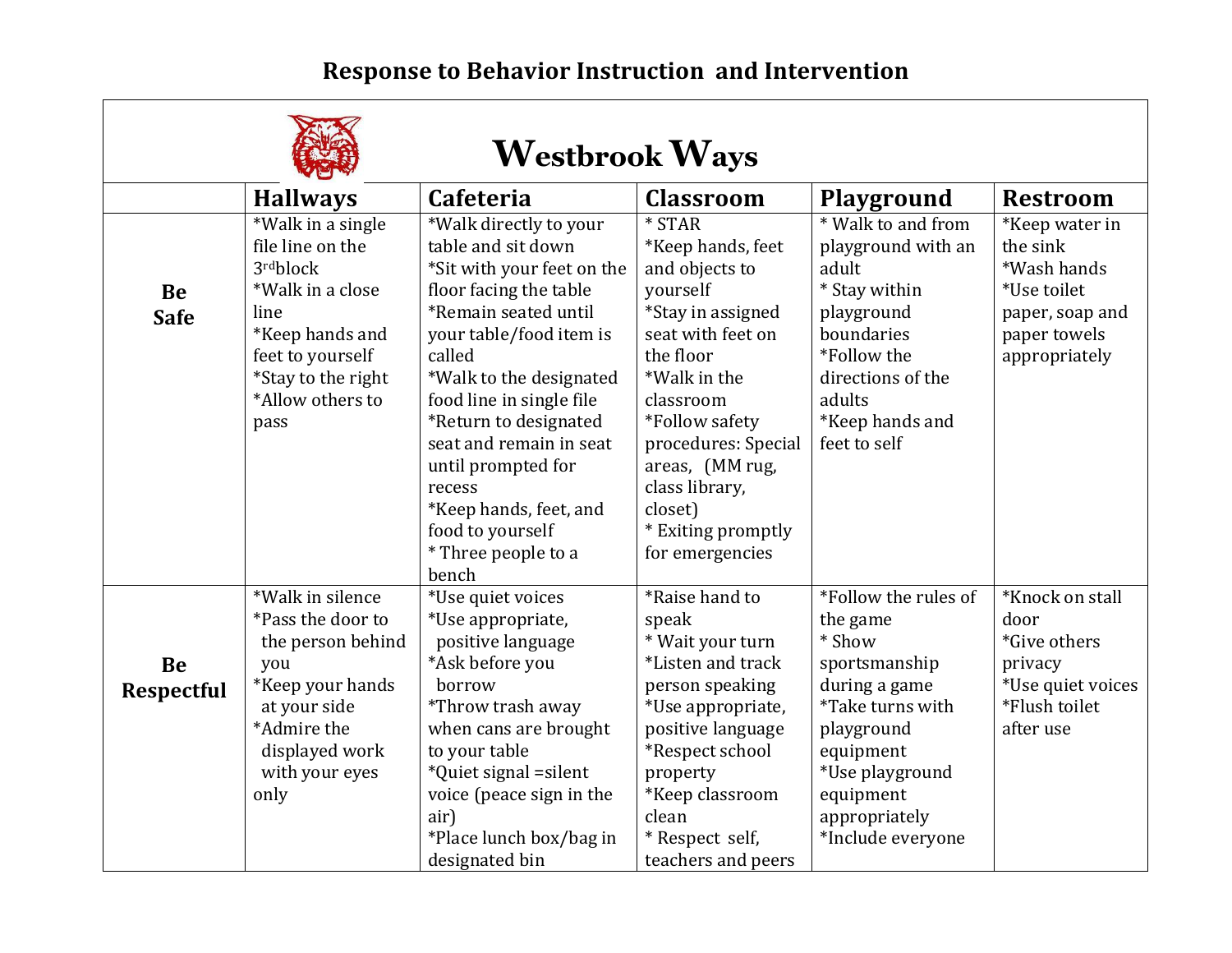## **Response to Behavior Instruction and Intervention**

┑

 $\Gamma$ 

| <b>Westbrook Ways</b>    |                                                                                                                                                                        |                                                                                                                                                                                                                                                                                                                                                                                            |                                                                                                                                                                                                                                                                                   |                                                                                                                                                                                                   |                                                                                                              |  |  |  |  |
|--------------------------|------------------------------------------------------------------------------------------------------------------------------------------------------------------------|--------------------------------------------------------------------------------------------------------------------------------------------------------------------------------------------------------------------------------------------------------------------------------------------------------------------------------------------------------------------------------------------|-----------------------------------------------------------------------------------------------------------------------------------------------------------------------------------------------------------------------------------------------------------------------------------|---------------------------------------------------------------------------------------------------------------------------------------------------------------------------------------------------|--------------------------------------------------------------------------------------------------------------|--|--|--|--|
|                          | <b>Hallways</b>                                                                                                                                                        | <b>Cafeteria</b>                                                                                                                                                                                                                                                                                                                                                                           | <b>Classroom</b>                                                                                                                                                                                                                                                                  | <b>Playground</b>                                                                                                                                                                                 | <b>Restroom</b>                                                                                              |  |  |  |  |
| <b>Be</b><br><b>Safe</b> | *Walk in a single<br>file line on the<br>3rdblock<br>*Walk in a close<br>line<br>*Keep hands and<br>feet to yourself<br>*Stay to the right<br>*Allow others to<br>pass | *Walk directly to your<br>table and sit down<br>*Sit with your feet on the<br>floor facing the table<br>*Remain seated until<br>your table/food item is<br>called<br>*Walk to the designated<br>food line in single file<br>*Return to designated<br>seat and remain in seat<br>until prompted for<br>recess<br>*Keep hands, feet, and<br>food to yourself<br>* Three people to a<br>bench | $*$ STAR<br>*Keep hands, feet<br>and objects to<br>yourself<br>*Stay in assigned<br>seat with feet on<br>the floor<br>*Walk in the<br>classroom<br>*Follow safety<br>procedures: Special<br>areas, (MM rug,<br>class library,<br>closet)<br>* Exiting promptly<br>for emergencies | * Walk to and from<br>playground with an<br>adult<br>* Stay within<br>playground<br>boundaries<br>*Follow the<br>directions of the<br>adults<br>*Keep hands and<br>feet to self                   | *Keep water in<br>the sink<br>*Wash hands<br>*Use toilet<br>paper, soap and<br>paper towels<br>appropriately |  |  |  |  |
| Be<br><b>Respectful</b>  | *Walk in silence<br>*Pass the door to<br>the person behind<br>you<br>*Keep your hands<br>at your side<br>*Admire the<br>displayed work<br>with your eyes<br>only       | *Use quiet voices<br>*Use appropriate,<br>positive language<br>*Ask before you<br>borrow<br>*Throw trash away<br>when cans are brought<br>to your table<br>*Quiet signal = silent<br>voice (peace sign in the<br>air)<br>*Place lunch box/bag in<br>designated bin                                                                                                                         | *Raise hand to<br>speak<br>* Wait your turn<br>*Listen and track<br>person speaking<br>*Use appropriate,<br>positive language<br>*Respect school<br>property<br>*Keep classroom<br>clean<br>* Respect self,<br>teachers and peers                                                 | *Follow the rules of<br>the game<br>* Show<br>sportsmanship<br>during a game<br>*Take turns with<br>playground<br>equipment<br>*Use playground<br>equipment<br>appropriately<br>*Include everyone | *Knock on stall<br>door<br>*Give others<br>privacy<br>*Use quiet voices<br>*Flush toilet<br>after use        |  |  |  |  |